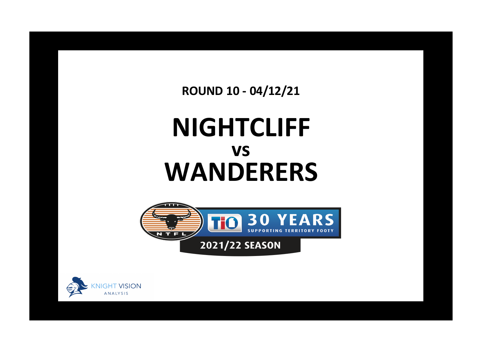**ROUND 10 - 04/12/21**

## **NIGHTCLIFF WANDERERS vs**



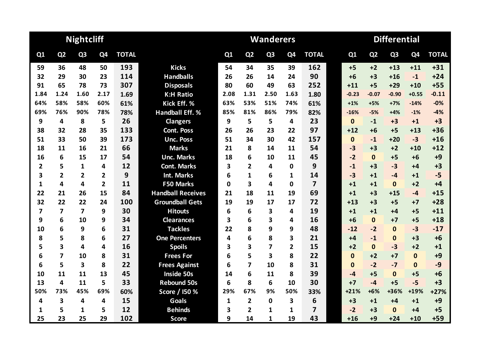|      |                | <b>Nightcliff</b>       |                         |              |                          |          |                         | <b>Wanderers</b> |                |                         | <b>Differential</b> |              |                |                |                |              |
|------|----------------|-------------------------|-------------------------|--------------|--------------------------|----------|-------------------------|------------------|----------------|-------------------------|---------------------|--------------|----------------|----------------|----------------|--------------|
| Q1   | Q <sub>2</sub> | Q <sub>3</sub>          | Q4                      | <b>TOTAL</b> |                          | Q1       | Q <sub>2</sub>          | Q <sub>3</sub>   | Q <sub>4</sub> | <b>TOTAL</b>            |                     | Q1           | Q <sub>2</sub> | Q <sub>3</sub> | Q <sub>4</sub> | <b>TOTAL</b> |
| 59   | 36             | 48                      | 50                      | 193          | <b>Kicks</b>             | 54       | 34                      | 35               | 39             | 162                     |                     | $+5$         | $+2$           | $+13$          | $+11$          | $+31$        |
| 32   | 29             | 30                      | 23                      | 114          | <b>Handballs</b>         | 26       | 26                      | 14               | 24             | 90                      |                     | $+6$         | $+3$           | $+16$          | $-1$           | $+24$        |
| 91   | 65             | 78                      | 73                      | 307          | <b>Disposals</b>         | 80       | 60                      | 49               | 63             | 252                     |                     | $+11$        | $+5$           | $+29$          | $+10$          | $+55$        |
| 1.84 | 1.24           | 1.60                    | 2.17                    | 1.69         | <b>K:H Ratio</b>         | 2.08     | 1.31                    | 2.50             | 1.63           | 1.80                    |                     | $-0.23$      | $-0.07$        | $-0.90$        | $+0.55$        | $-0.11$      |
| 64%  | 58%            | 58%                     | 60%                     | 61%          | Kick Eff. %              | 63%      | 53%                     | 51%              | 74%            | 61%                     |                     | $+1%$        | $+5%$          | $+7%$          | $-14%$         | $-0%$        |
| 69%  | 76%            | 90%                     | 78%                     | 78%          | <b>Handball Eff. %</b>   | 85%      | 81%                     | 86%              | 79%            | 82%                     |                     | $-16%$       | $-5%$          | $+4%$          | $-1%$          | $-4%$        |
| 9    | 4              | 8                       | 5                       | 26           | <b>Clangers</b>          | 9        | 5                       | 5                | 4              | 23                      |                     | $\mathbf{0}$ | $-1$           | $+3$           | $+1$           | $+3$         |
| 38   | 32             | 28                      | 35                      | 133          | <b>Cont. Poss</b>        | 26       | 26                      | 23               | 22             | 97                      |                     | $+12$        | $+6$           | $+5$           | $+13$          | $+36$        |
| 51   | 33             | 50                      | 39                      | 173          | <b>Unc. Poss</b>         | 51       | 34                      | 30               | 42             | 157                     |                     | $\mathbf 0$  | $-1$           | $+20$          | $-3$           | $+16$        |
| 18   | 11             | 16                      | 21                      | 66           | <b>Marks</b>             | 21       | 8                       | 14               | 11             | 54                      |                     | $-3$         | $+3$           | $+2$           | $+10$          | $+12$        |
| 16   | 6              | 15                      | 17                      | 54           | <b>Unc. Marks</b>        | 18       | 6                       | 10               | 11             | 45                      |                     | $-2$         | $\mathbf{0}$   | $+5$           | $+6$           | $+9$         |
| 2    | 5              | 1                       | 4                       | 12           | <b>Cont. Marks</b>       | 3        | $\overline{2}$          | 4                | 0              | 9                       |                     | $-1$         | $+3$           | $-3$           | $+4$           | $+3$         |
| 3    | $\overline{2}$ | $\overline{2}$          | $\overline{\mathbf{2}}$ | 9            | <b>Int. Marks</b>        | 6        | 1                       | 6                | 1              | 14                      |                     | $-3$         | $+1$           | $-4$           | $+1$           | $-5$         |
| 1    | 4              | 4                       | $\overline{2}$          | 11           | <b>F50 Marks</b>         | $\Omega$ | 3                       | 4                | 0              | $\overline{7}$          |                     | $+1$         | $+1$           | $\mathbf{0}$   | $+2$           | $+4$         |
| 22   | 21             | 26                      | 15                      | 84           | <b>Handball Receives</b> | 21       | 18                      | 11               | 19             | 69                      |                     | $+1$         | $+3$           | $+15$          | $-4$           | $+15$        |
| 32   | 22             | 22                      | 24                      | 100          | <b>Groundball Gets</b>   | 19       | 19                      | 17               | 17             | 72                      |                     | $+13$        | $+3$           | $+5$           | $+7$           | $+28$        |
| 7    | 7              | $\overline{\mathbf{z}}$ | 9                       | 30           | <b>Hitouts</b>           | 6        | 6                       | 3                | 4              | 19                      |                     | $+1$         | $+1$           | +4             | $+5$           | $+11$        |
| 9    | 6              | 10                      | 9                       | 34           | <b>Clearances</b>        | 3        | 6                       | 3                | 4              | 16                      |                     | $+6$         | $\mathbf{0}$   | $+7$           | $+5$           | $+18$        |
| 10   | 6              | 9                       | 6                       | 31           | <b>Tackles</b>           | 22       | 8                       | 9                | 9              | 48                      |                     | $-12$        | $-2$           | $\mathbf{0}$   | $-3$           | $-17$        |
| 8    | 5              | 8                       | 6                       | 27           | <b>One Percenters</b>    | 4        | 6                       | 8                | 3              | 21                      |                     | $+4$         | $-1$           | $\mathbf{0}$   | $+3$           | $+6$         |
| 5    | 3              | 4                       | 4                       | 16           | <b>Spoils</b>            | 3        | 3                       | 7                | $\mathbf{2}$   | 15                      |                     | $+2$         | $\Omega$       | $-3$           | $+2$           | $+1$         |
| 6    | 7              | 10                      | 8                       | 31           | <b>Frees For</b>         | 6        | 5                       | 3                | 8              | 22                      |                     | $\mathbf{0}$ | $+2$           | $+7$           | $\mathbf{0}$   | $+9$         |
| 6    | 5              | $\overline{\mathbf{3}}$ | 8                       | 22           | <b>Frees Against</b>     | 6        | $\overline{\mathbf{z}}$ | 10               | 8              | 31                      |                     | $\mathbf{0}$ | $-2$           | $-7$           | $\mathbf{0}$   | $-9$         |
| 10   | 11             | 11                      | 13                      | 45           | Inside 50s               | 14       | 6                       | 11               | 8              | 39                      |                     | $-4$         | $+5$           | $\mathbf{0}$   | $+5$           | $+6$         |
| 13   | 4              | 11                      | 5                       | 33           | <b>Rebound 50s</b>       | 6        | 8                       | 6                | 10             | 30                      |                     | $+7$         | $-4$           | $+5$           | $-5$           | $+3$         |
| 50%  | 73%            | 45%                     | 69%                     | 60%          | Score / I50 %            | 29%      | 67%                     | 9%               | 50%            | 33%                     |                     | $+21%$       | $+6%$          | +36%           | +19%           | $+27%$       |
| 4    | 3              | 4                       | 4                       | 15           | <b>Goals</b>             | 1        | $\overline{2}$          | $\bf{0}$         | 3              | 6                       |                     | $+3$         | $+1$           | $+4$           | $+1$           | $+9$         |
| 1    | 5              | 1                       | 5                       | 12           | <b>Behinds</b>           | 3        | $\overline{2}$          | 1                | 1              | $\overline{\mathbf{z}}$ |                     | $-2$         | $+3$           | $\mathbf{0}$   | $+4$           | $+5$         |
| 25   | 23             | 25                      | 29                      | 102          | <b>Score</b>             | 9        | 14                      | $\mathbf{1}$     | 19             | 43                      |                     | $+16$        | $+9$           | $+24$          | $+10$          | $+59$        |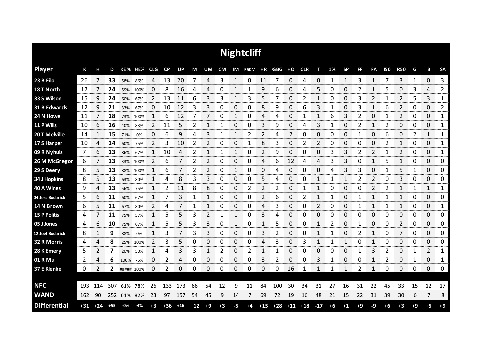|                     | <b>Nightcliff</b> |       |       |             |             |      |       |       |       |              |      |    |                          |       |     |    |                   |       |      |           |                |                |            |                |      |              |              |
|---------------------|-------------------|-------|-------|-------------|-------------|------|-------|-------|-------|--------------|------|----|--------------------------|-------|-----|----|-------------------|-------|------|-----------|----------------|----------------|------------|----------------|------|--------------|--------------|
| <b>Player</b>       | К                 | н     | D     |             | KE% HE% CLG |      | CP    | UP    | M     | UM           |      |    | CM IM F50M HR GBG HO CLR |       |     |    |                   | т     | 1%   | <b>SP</b> | <b>FF</b>      | FA             | <b>I50</b> | <b>R50</b>     | G    | В            | <b>SA</b>    |
| 23 B Filo           | 26                | 7     | 33    | 58%         | 86%         | 4    | 13    | 20    | 7     | 4            | 3    | 1  | 0                        | 11    | 7   | 0  | 4                 | 0     | 1    | 1         | 3              | 1              | 7          | 3              | 1    | 0            | 3<br>        |
| 18 T North          | 17                |       | 24    | 59%         | 100%        | 0    | 8     | 16    | 4     | 4            | 0    | 1  |                          | 9     | 6   | 0  | 4                 | 5     | 0    | 0         | 2              |                | 5          | 0              | 3    | 4            | 2            |
| 33 S Wilson         | 15                | 9     | 24    | 60%         | 67%         | 2    | 13    | 11    | 6     | 3            | 3    | 1  | 3                        | 5     | 7   | 0  | 2                 | 1     | 0    | 0         | 3              | 2              |            | $\overline{2}$ | 5    | 3            | 1            |
| 31 B Edwards        | 12                | 9     | 21    | 33%         | 67%         | 0    | 10    | 12    | 3     | 3            | 0    | 0  | 0                        | 8     | 9   | 0  | 6                 | 3     | 1    | 0         | 3              | 1              | 6          | 2              | 0    | 0            | 2            |
| 24 N Howe           | 11                | 7     | 18    | 73%         | 100%        | 1    | 6     | 12    | 7     | 7            | 0    | 1  | 0                        | 4     | 4   | 0  | 1                 | 1     | 6    | 3         | 2              | 0              | 1          | $\overline{2}$ | 0    | 0            | 1            |
| 11 P Wills          | 10                | 6     | 16    | 40%         | 83%         | 2    | 11    | 5     | 2     | 1            | 1    | 0  | 0                        | 3     | 9   | 0  | 4                 | 3     | -1   | 0         | 2              | 1              | 2          | 0              | 0    | 0            | 1            |
| 20 T Melville       | 14                |       | 15    | 71%         | 0%          | 0    | 6     | 9     | 4     | 3            | 1    | 1  | 2                        | 2     | 4   | 2  | 0                 | 0     | 0    | 0         | 1              | 0              | 6          | 0              | 2    | $\mathbf{1}$ | 1            |
| 17 S Harper         | 10                | 4     | 14    | 60%         | 75%         | 2    | 3     | 10    | 2     | 2            | 0    | 0  | 1                        | 8     | 3   | 0  | 2                 | 2     | 0    | 0         | 0              | 0              | 2          | 1              | 0    | 0            | 1            |
| 09 R Nyhuis         | 7                 | 6     | 13    | 86%         | 67%         | 1    | 10    | 4     | 2     | $\mathbf{1}$ | 1    | 1  | 0                        | 2     | 9   | 0  | 0                 | 0     | 3    | 3         | $\overline{2}$ | $\overline{2}$ | 1          | $\overline{2}$ | 0    | 0            | 1            |
| 26 M McGregor       | 6                 |       | 13    | 33%         | 100%        | 2    | 6     |       | 2     | 2            | 0    | 0  | 0                        | 4     | 6   | 12 | 4                 | 4     | 3    | 3         | 0              | 1              | 5          | 1              | 0    | 0            | 0            |
| 29 S Deery          | 8                 | 5     | 13    | 88%         | 100%        | 1    | 6     |       | 2     | 2            | 0    | 1  | 0                        | 0     | 4   | 0  | 0                 | 0     | 4    | 3         | 3              | 0              |            | 5              | 1    | 0            | 0            |
| 34 J Hopkins        | 8                 | 5     | 13    | 63%         | 80%         | 1    | 4     | 8     | 3     | 3            | 0    | 0  | 0                        | 5     | 4   | 0  | 0                 | 1     |      | 1         |                | 2              | 0          | 3              | 0    | 0            | 0            |
| 40 A Wines          | 9                 | 4     | 13    | 56%         | 75%         | 1    | 2     | 11    | 8     | 8            | 0    | 0  | 2                        | 2     | 2   | 0  |                   | 1     | 0    | 0         | 0              | $\overline{2}$ | 2          | 1              | 1    | 1            | 1            |
| 04 Jess Budarick    | 5                 | 6     | 11    | 60%         | 67%         |      |       | 3     |       | 1            | 0    | 0  | 0                        | 2     | 6   | 0  |                   | 1     | 1    | 0         |                | 1              |            | 1              | 0    | 0            | 0<br>mmmmm   |
| 14 N Brown          | 6                 | 5     | 11    | 67%         | 80%         | 2    | 4     |       | 1     | 1            | 0    | 0  | 0                        | 4     | 3   | 0  | 0                 | 2     | 0    | 0         |                | 1              | 1          | 1<br>anan meng | 0    | 0<br>an mara | 1<br>an an a |
| <b>15 P Politis</b> | 4                 |       | 11    | 75%         | 57%         |      | 5     | 5     | 3     | 2            | 1    | 1  | 0                        | 3     | 4   | 0  | O                 | 0     | 0    | 0         | 0              | 0              | 0          | 0              | 0    | 0            | 0            |
| 05 J Jones          | 4                 | 6     | 10    | 75%         | 67%         | 1    | 5     | 5     | 3     | 3            | 0    | 1  | 0                        | 1     | 5   | 0  | 0                 | 1     | 2    | 0         | 1              | 0              | 0          | $\overline{2}$ | 0    | 0            | 0            |
| 12 Joel Budarick    | 8                 |       | 9     | 88%         | 0%          | 1    | 3     |       | 3     | 3            | 0    | 0  | 0                        | 3     |     | 0  | Ω                 | 1     |      | 0         | 2              | 1              | 0          | 7              | 0    | 0            | 0            |
| 32 R Morris         | 4                 | 4     | 8     | 25%         | 100%        | 2    | 3     | 5     | 0     | 0            | 0    | 0  | 0                        | 4     | 3   | 0  | 3                 | 1     |      | 1         | 0              | 1              | 0          | 0              | 0    | 0            | 0            |
| 28 K Emery          | 5                 | 2     | 7     | 20%         | 50%         | 1    | 4     | 3     | 3     | 1            | 2    | 0  | 2                        | 1     | 1   | 0  | 0                 | 0     | 0    | 0         |                | 3              | 2          | 0              | 1    | 2            | 1            |
| 01 R Mu             | 2                 | 4     | 6     | 100%        | 75%         | 0    | 2     | 4     | 0     | 0            | 0    | 0  | 0                        | 3     | 2   | 0  | 0                 | 3     | 1    | 0         | 0              | 1              | 2          | 0              | 1    | 0            | 1            |
| 37 E Klenke         | 0                 | 2     | 2     | ##### 100%  |             | 0    | 2     | 0     | 0     | 0            | 0    | 0  | 0                        | 0     | 0   | 16 | 1                 | 1     | 1    | 1         | 2              | 1              | 0          | 0              | 0    | 0            | 0            |
|                     |                   |       |       |             |             |      |       |       |       |              |      |    |                          |       |     |    |                   |       |      |           |                |                |            |                |      |              |              |
| <b>NFC</b>          | 193               | 114   | 307   | 61%         | 78%         | 26   | 133   | 173   | 66    | 54           | 12   | 9  | 11                       | 84    | 100 | 30 | 34                | 31    | 27   | 16        | 31             | 22             | 45         | 33             | 15   | 12           | 17           |
| <b>WAND</b>         | 162               | 90    |       | 252 61% 82% |             | 23   | 97    | 157   | 54    | 45           | 9    | 14 | 7                        | 69    | 72  | 19 | 16                | 48    | 21   | 15        | 22             | 31             | 39         | 30             | 6    | 7            | 8            |
| <b>Differential</b> | $+31$             | $+24$ | $+55$ | -0%         | -4%         | $+3$ | $+36$ | $+16$ | $+12$ | $+9$         | $+3$ | -5 | $+4$                     | $+15$ |     |    | $+28$ $+11$ $+18$ | $-17$ | $+6$ | $+1$      | $+9$           | -9             | $+6$       | $+3$           | $+9$ | $+5$         | $+9$         |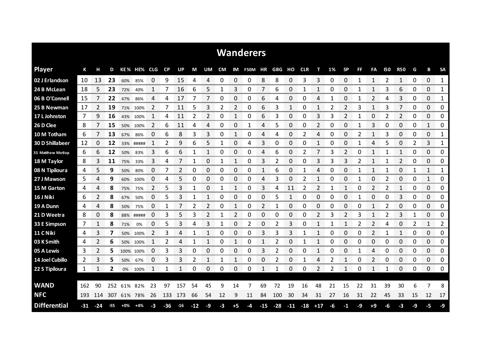| <b>Wanderers</b>       |       |                |       |             |           |            |                |           |       |      |                |                |      |       |       |              |            |          |      |           |    |              |                |                |                |             |              |
|------------------------|-------|----------------|-------|-------------|-----------|------------|----------------|-----------|-------|------|----------------|----------------|------|-------|-------|--------------|------------|----------|------|-----------|----|--------------|----------------|----------------|----------------|-------------|--------------|
| <b>Player</b>          | К     | н              | D     |             | KE% HE%   | <b>CLG</b> | <b>CP</b>      | <b>UP</b> | М     | UM.  | <b>CM</b>      | IM             | F50M | ΗR    | GBG   | но           | <b>CLR</b> | т        | 1%   | <b>SP</b> | FF | FA           | <b>150</b>     | <b>R50</b>     | G              | B           | <b>SA</b>    |
| 02 J Erlandson         | 10    | 13             | 23    | 60%         | 85%       | 0          | 9              | 15        | 4     | 4    | 0              | 0              | 0    | 8     | 8     | 0            | 3          | 3        | 0    | 0         | 1  | 1            | 2              | $\mathbf{1}$   | 0              | 0           | $\mathbf{1}$ |
| 24 B McLean            | 18    | 5              | 23    | 72%         | 40%       | 1          |                | 16        | 6     | 5    |                | 3              | 0    | 7     | 6     | 0            | 1          | 1        | 0    | 0         | 1  |              | 3              | 6              | 0              | 0           | 1            |
| 06 B O'Connell         | 15    | 7              | 22    | 47%         | 86%       | 4          | 4              | 17        | 7     | 7    | 0              | 0              | 0    | 6     | 4     | 0            | 0          | 4        | 1    | 0         | 1  | 2            | 4              | 3              | 0              | 0           | 1            |
| 25 B Newman            | 17    | 2              | 19    | 71%         | 100%      | 2          | 7              | 11        | 5     | 3    | $\overline{2}$ | $\overline{2}$ | 0    | 6     | 3     | $\mathbf{1}$ | 0          | 1        | 2    | 2         | 3  | $\mathbf{1}$ | 3              | 7              | 0              | 0           | 0            |
| 17 L Johnston          | 7     | 9              | 16    | 43%         | 100%      | 1          | 4              | 11        | 2     | 2    | 0              | 1              | 0    | 6     | 3     | 0            | 0          | 3        | 3    | 2         | 1  | 0            | 2              | 2              | 0              | 0           | 0            |
| 26 D Clee              | 8     | 7              | 15    | 50%         | 100%      | 2          | 6              | 11        | 4     | 4    | 0              | 0              | 1    | 4     | 5     | 0            | 0          | 2        | 0    | 0         |    | 3            | 0              | 0              | 0              | 1           | 0            |
| 10 M Totham            | 6     | 7              | 13    | 67%         | 86%       | 0          | 6              | 8         | 3     | 3    | 0              | 1              | 0    | 4     | 4     | 0            | 2          | 4        | 0    | 0         | 2  | 1            | 3              | 0              | 0              | 0           | 1            |
| <b>30 D Shillabeer</b> | 12    | 0              | 12    |             | 33% ##### | 1          | $\overline{2}$ | 9         | 6     | 5    | 1              | 0              | 4    | 3     | 0     | 0            | 0          | 1        | 0    | 0         | 1  | 4            | 5              | 0              | $\overline{2}$ | 3           | 1            |
| 35 Matthew Motlop      | 6     | 6              | 12    | 50%         | 83%       | 3          | 6              | 6         | 1     | 1    | 0              | 0              | 0    | 4     | 6     | 0            | 2          | 7        | 3    | 2         | 0  | 1            | 1              | 1              | 0              | 0           | 0            |
| 18 M Taylor            | 8     | 3              | 11    | 75%         | 33%       | 3          | 4              | 7         | 1     | 0    | 1              |                | 0    | 3     | 2     | 0            | 0          | 3        | 3    | 3         | 2  | $\mathbf{1}$ |                | $\overline{2}$ | 0              | 0           | 0            |
| 08 N Tipiloura         | 4     | 5              | 9     | 50%         | 80%       | 0          |                | 2         | 0     | 0    | 0              | 0              | 0    | 1     | 6     | 0            | 1          | 4        | 0    | 0         | 1  | 1            |                | 0              | 1              | 1           | 1            |
| 27 J Mawson            | 5     | 4              | 9     | 60%         | 100%      | 0          | 4              | 5         | 0     | 0    | 0              | 0              | 0    | 4     | 3     | 0            | 2          |          | 0    | 0         | 1  | 0            | 2              | 0              | 0              | 1           | 0            |
| 15 M Garton            | 4     | 4              | 8     | 75%         | 75%       | 2          | 5              | 3         | 1     | 0    |                | 1              | 0    | 3     | 4     | 11           | 2          | 2        |      | 1         | 0  | 2            | 2              | 1              | 0              | 0           | 0            |
| 16 J Niki              | 6     | 2              | 8     | 67%         | 50%       | 0          | 5              | 3         | 1     |      | 0              | 0              | 0    | 0     | 5     | $\mathbf{1}$ | 0          | $\Omega$ | 0    | 0         |    | 0            | 0              | 3              | 0              | 0           | 0            |
| 19 A Dunn              | 4     | 4              | 8     | 50%         | 75%       | 0          | 1              |           | 2     | 2    | 0              | 1              | 0    | 2     | 1     | 0            | 0          | 0        | 0    | 0         | 0  | $\mathbf{1}$ | 2              | 0              | 0              | 0           | 0            |
| 21 D Weetra            | 8     | 0              | 8     | 88%         | #####     | 0          | 3              | 5         | 3     | 2    | 1              | 2              | 0    | 0     | 0     | 0            | 0          | 2        | 3    | 2         | 3  | $\mathbf{1}$ | $\overline{2}$ | 3              | 1              | 0           | 0            |
| 33 E Simpson           | 7     | 1              | 8     | 71%         | 0%        | 0          | 5              | 3         | 4     | 3    | 1              | 0              | 2    | 0     | 2     | 3            | 0          | 1        | 1    | 1         | 2  | 2            | 4              | 0              | 2              | 1           | 2            |
| 11 C Niki              | 4     | 3              | 7     |             | 50% 100%  | 2          | 3              | 4         | 1     |      | 0              | 0              | 0    | 3     | 3     | 3            |            |          | 0    | 0         | 0  | 2            |                | 1              | 0              | 0           | 0            |
| 03 K Smith             | 4     | $\overline{2}$ | 6     |             | 50% 100%  | 1          | 2              | 4         | 1     | 1    | 0              | 1              | 0    | 1     | 2     | 0            | 1          | 1        | 0    | 0         | 0  | 0            | 0              | 0              | 0              | 0           | 0            |
| 05 A Lewis             | 3     | 2<br>ana an    | 5     |             | 100% 100% | 0          | 3              | 3         | 0     | 0    | 0              | 0              | 0    | 3     | 2     | 0            | 0          | 1        | ŋ    | 0         | 1  | 4<br>ana a   | 0              | 0              | 0              | 0<br>an ana | 0<br>omonom  |
| 14 Joel Cubillo        | 2     | 3              | 5     | 50%         | 67%       | 0          | 3              | 3         | 2     | 1    | 1              | 1              | 0    | 0     | 2     | 0            | 1          | 4        | 2    | 1         | 0  | 2            | 0              | 0              | 0              | 0           | 0            |
| 22 S Tipiloura         | 1     | 1              | 2     | 0%          | 100%      | 1          | 1              | 1         | 0     | 0    | 0              | 0              | 0    | 1     | 1     | 0            | 0          | 2        | 2    | 1         | 0  | 1            |                | 0              | 0              | 0           | 0            |
|                        |       |                |       |             |           |            |                |           |       |      |                |                |      |       |       |              |            |          |      |           |    |              |                |                |                |             |              |
| <b>WAND</b>            | 162   | 90             | 252   | 61% 82%     |           | 23         | 97             | 157       | 54    | 45   | 9              | 14             |      | 69    | 72    | 19           | 16         | 48       | 21   | 15        | 22 | 31           | 39             | 30             | 6              | 7           | 8            |
| <b>NFC</b>             | 193   | 114            |       | 307 61% 78% |           | 26         | 133            | -173      | 66    | 54   | 12             | 9              | 11   | 84    | 100   | 30           | 34         | 31       | 27   | 16        | 31 | 22           | 45             | 33             | 15             | 12          | 17           |
| <b>Differential</b>    | $-31$ | $-24$          | $-55$ | +0%         | $+4%$     | $-3$       | $-36$          | $-16$     | $-12$ | $-9$ | -3             | $+5$           | -4   | $-15$ | $-28$ | $-11$        | $-18$      | $+17$    | $-6$ | $-1$      | -9 | $+9$         | -6             | $-3$           | -9             | -5          | $-9$         |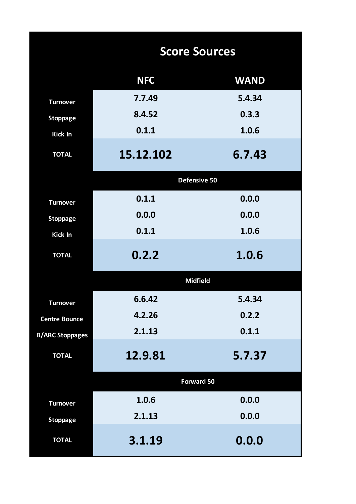|                        | <b>Score Sources</b> |             |  |  |  |  |  |  |  |  |
|------------------------|----------------------|-------------|--|--|--|--|--|--|--|--|
|                        | <b>NFC</b>           | <b>WAND</b> |  |  |  |  |  |  |  |  |
| <b>Turnover</b>        | 7.7.49               | 5.4.34      |  |  |  |  |  |  |  |  |
| <b>Stoppage</b>        | 8.4.52               | 0.3.3       |  |  |  |  |  |  |  |  |
| <b>Kick In</b>         | 0.1.1                | 1.0.6       |  |  |  |  |  |  |  |  |
| <b>TOTAL</b>           | 15.12.102            | 6.7.43      |  |  |  |  |  |  |  |  |
|                        | Defensive 50         |             |  |  |  |  |  |  |  |  |
| <b>Turnover</b>        | 0.1.1                | 0.0.0       |  |  |  |  |  |  |  |  |
| <b>Stoppage</b>        | 0.0.0                | 0.0.0       |  |  |  |  |  |  |  |  |
| Kick In                | 0.1.1                | 1.0.6       |  |  |  |  |  |  |  |  |
| <b>TOTAL</b>           | 0.2.2                | 1.0.6       |  |  |  |  |  |  |  |  |
|                        | <b>Midfield</b>      |             |  |  |  |  |  |  |  |  |
| <b>Turnover</b>        | 6.6.42               | 5.4.34      |  |  |  |  |  |  |  |  |
| <b>Centre Bounce</b>   | 4.2.26               | 0.2.2       |  |  |  |  |  |  |  |  |
| <b>B/ARC Stoppages</b> | 2.1.13               | 0.1.1       |  |  |  |  |  |  |  |  |
| <b>TOTAL</b>           | 12.9.81              | 5.7.37      |  |  |  |  |  |  |  |  |
|                        | Forward 50           |             |  |  |  |  |  |  |  |  |
| <b>Turnover</b>        | 1.0.6                | 0.0.0       |  |  |  |  |  |  |  |  |
| <b>Stoppage</b>        | 2.1.13               | 0.0.0       |  |  |  |  |  |  |  |  |
| <b>TOTAL</b>           | 3.1.19               | 0.0.0       |  |  |  |  |  |  |  |  |